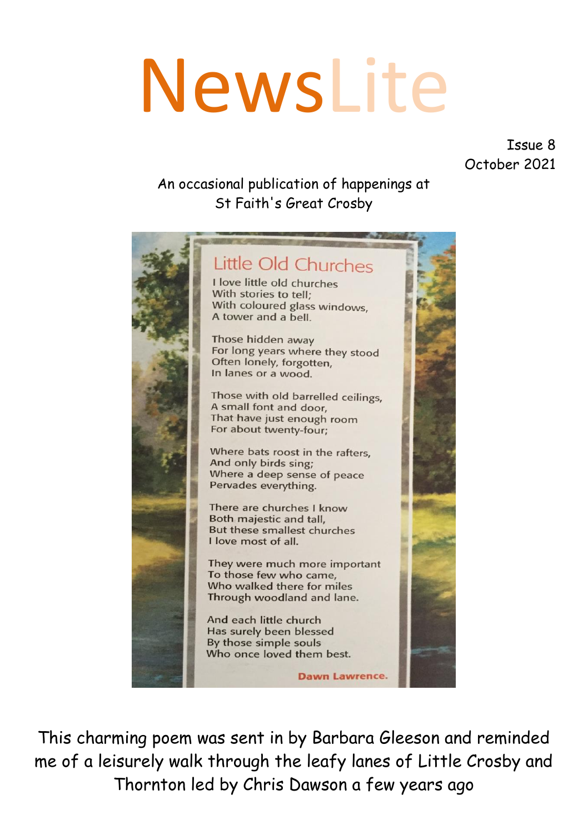# NewsLite

Issue 8 October 2021

#### An occasional publication of happenings at St Faith's Great Crosby



This charming poem was sent in by Barbara Gleeson and reminded me of a leisurely walk through the leafy lanes of Little Crosby and Thornton led by Chris Dawson a few years ago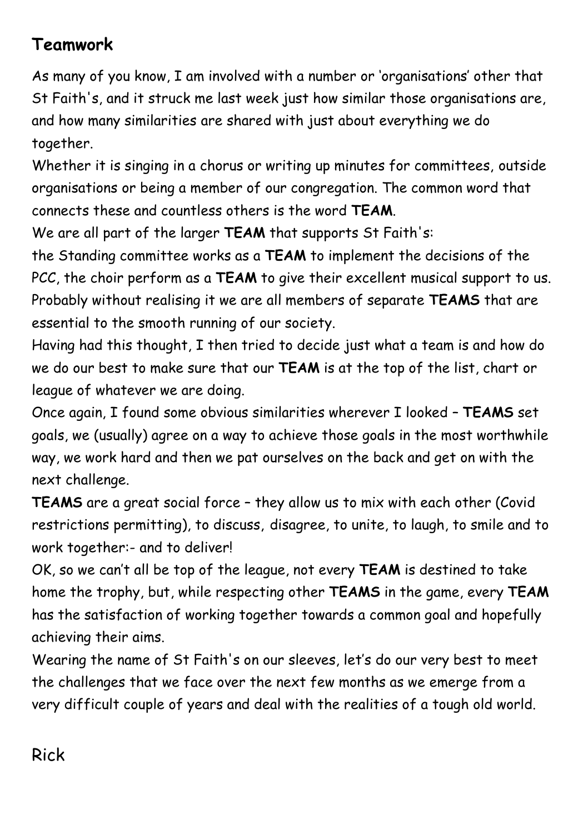### **Teamwork**

As many of you know, I am involved with a number or 'organisations' other that St Faith's, and it struck me last week just how similar those organisations are, and how many similarities are shared with just about everything we do together.

Whether it is singing in a chorus or writing up minutes for committees, outside organisations or being a member of our congregation. The common word that connects these and countless others is the word **TEAM**.

We are all part of the larger **TEAM** that supports St Faith's:

the Standing committee works as a **TEAM** to implement the decisions of the PCC, the choir perform as a **TEAM** to give their excellent musical support to us. Probably without realising it we are all members of separate **TEAMS** that are essential to the smooth running of our society.

Having had this thought, I then tried to decide just what a team is and how do we do our best to make sure that our **TEAM** is at the top of the list, chart or league of whatever we are doing.

Once again, I found some obvious similarities wherever I looked – **TEAMS** set goals, we (usually) agree on a way to achieve those goals in the most worthwhile way, we work hard and then we pat ourselves on the back and get on with the next challenge.

**TEAMS** are a great social force – they allow us to mix with each other (Covid restrictions permitting), to discuss, disagree, to unite, to laugh, to smile and to work together:- and to deliver!

OK, so we can't all be top of the league, not every **TEAM** is destined to take home the trophy, but, while respecting other **TEAMS** in the game, every **TEAM** has the satisfaction of working together towards a common goal and hopefully achieving their aims.

Wearing the name of St Faith's on our sleeves, let's do our very best to meet the challenges that we face over the next few months as we emerge from a very difficult couple of years and deal with the realities of a tough old world.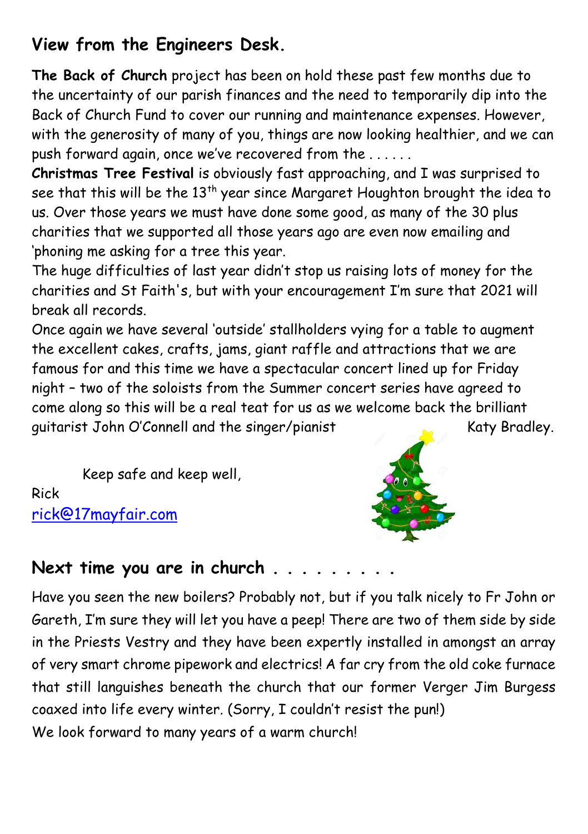# **View from the Engineers Desk.**

**The Back of Church** project has been on hold these past few months due to the uncertainty of our parish finances and the need to temporarily dip into the Back of Church Fund to cover our running and maintenance expenses. However, with the generosity of many of you, things are now looking healthier, and we can push forward again, once we've recovered from the . . . . . .

**Christmas Tree Festival** is obviously fast approaching, and I was surprised to see that this will be the  $13<sup>th</sup>$  year since Margaret Houghton brought the idea to us. Over those years we must have done some good, as many of the 30 plus charities that we supported all those years ago are even now emailing and 'phoning me asking for a tree this year.

The huge difficulties of last year didn't stop us raising lots of money for the charities and St Faith's, but with your encouragement I'm sure that 2021 will break all records.

Once again we have several 'outside' stallholders vying for a table to augment the excellent cakes, crafts, jams, giant raffle and attractions that we are famous for and this time we have a spectacular concert lined up for Friday night – two of the soloists from the Summer concert series have agreed to come along so this will be a real teat for us as we welcome back the brilliant quitarist John O'Connell and the singer/pianist Katy Bradley.

Keep safe and keep well, Rick [rick@17mayfair.com](mailto:rick@17mayfair.com)



## **Next time you are in church . . . . . . . . .**

Have you seen the new boilers? Probably not, but if you talk nicely to Fr John or Gareth, I'm sure they will let you have a peep! There are two of them side by side in the Priests Vestry and they have been expertly installed in amongst an array of very smart chrome pipework and electrics! A far cry from the old coke furnace that still languishes beneath the church that our former Verger Jim Burgess coaxed into life every winter. (Sorry, I couldn't resist the pun!) We look forward to many years of a warm church!